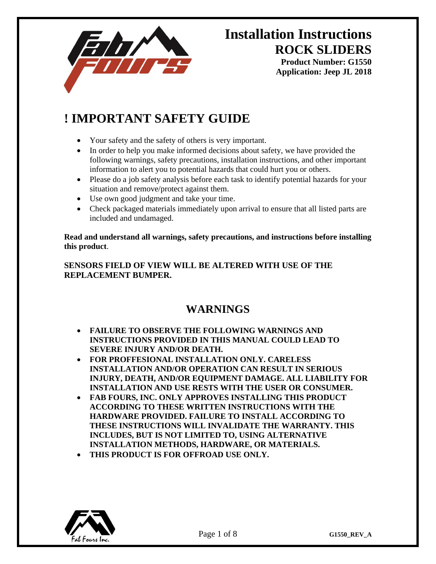

**Application: Jeep JL 2018**

## **! IMPORTANT SAFETY GUIDE**

- Your safety and the safety of others is very important.
- In order to help you make informed decisions about safety, we have provided the following warnings, safety precautions, installation instructions, and other important information to alert you to potential hazards that could hurt you or others.
- Please do a job safety analysis before each task to identify potential hazards for your situation and remove/protect against them.
- Use own good judgment and take your time.
- Check packaged materials immediately upon arrival to ensure that all listed parts are included and undamaged.

**Read and understand all warnings, safety precautions, and instructions before installing this product**.

#### **SENSORS FIELD OF VIEW WILL BE ALTERED WITH USE OF THE REPLACEMENT BUMPER.**

### **WARNINGS**

- **FAILURE TO OBSERVE THE FOLLOWING WARNINGS AND INSTRUCTIONS PROVIDED IN THIS MANUAL COULD LEAD TO SEVERE INJURY AND/OR DEATH.**
- **FOR PROFFESIONAL INSTALLATION ONLY. CARELESS INSTALLATION AND/OR OPERATION CAN RESULT IN SERIOUS INJURY, DEATH, AND/OR EQUIPMENT DAMAGE. ALL LIABILITY FOR INSTALLATION AND USE RESTS WITH THE USER OR CONSUMER.**
- **FAB FOURS, INC. ONLY APPROVES INSTALLING THIS PRODUCT ACCORDING TO THESE WRITTEN INSTRUCTIONS WITH THE HARDWARE PROVIDED. FAILURE TO INSTALL ACCORDING TO THESE INSTRUCTIONS WILL INVALIDATE THE WARRANTY. THIS INCLUDES, BUT IS NOT LIMITED TO, USING ALTERNATIVE INSTALLATION METHODS, HARDWARE, OR MATERIALS.**
- **THIS PRODUCT IS FOR OFFROAD USE ONLY.**

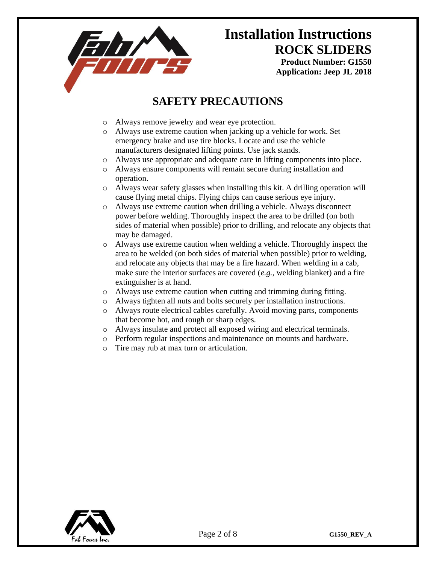

**Application: Jeep JL 2018**

### **SAFETY PRECAUTIONS**

- o Always remove jewelry and wear eye protection.
- o Always use extreme caution when jacking up a vehicle for work. Set emergency brake and use tire blocks. Locate and use the vehicle manufacturers designated lifting points. Use jack stands.
- o Always use appropriate and adequate care in lifting components into place.
- o Always ensure components will remain secure during installation and operation.
- o Always wear safety glasses when installing this kit. A drilling operation will cause flying metal chips. Flying chips can cause serious eye injury.
- o Always use extreme caution when drilling a vehicle. Always disconnect power before welding. Thoroughly inspect the area to be drilled (on both sides of material when possible) prior to drilling, and relocate any objects that may be damaged.
- o Always use extreme caution when welding a vehicle. Thoroughly inspect the area to be welded (on both sides of material when possible) prior to welding, and relocate any objects that may be a fire hazard. When welding in a cab, make sure the interior surfaces are covered (*e.g.*, welding blanket) and a fire extinguisher is at hand.
- o Always use extreme caution when cutting and trimming during fitting.
- o Always tighten all nuts and bolts securely per installation instructions.
- o Always route electrical cables carefully. Avoid moving parts, components that become hot, and rough or sharp edges.
- o Always insulate and protect all exposed wiring and electrical terminals.
- o Perform regular inspections and maintenance on mounts and hardware.
- o Tire may rub at max turn or articulation.

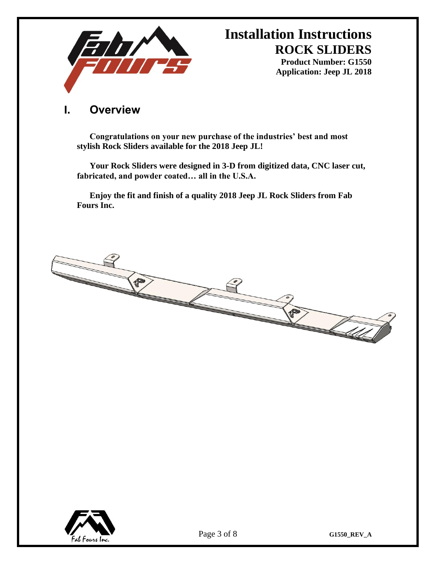

**Product Number: G1550 Application: Jeep JL 2018**

### **I. Overview**

**Congratulations on your new purchase of the industries' best and most stylish Rock Sliders available for the 2018 Jeep JL!** 

**Your Rock Sliders were designed in 3-D from digitized data, CNC laser cut, fabricated, and powder coated… all in the U.S.A.** 

**Enjoy the fit and finish of a quality 2018 Jeep JL Rock Sliders from Fab Fours Inc.**



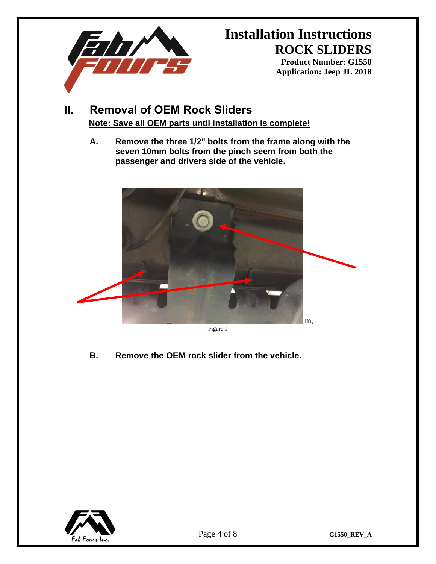

**Product Number: G1550 Application: Jeep JL 2018**

### **II. Removal of OEM Rock Sliders Note: Save all OEM parts until installation is complete!**

**A. Remove the three 1/2" bolts from the frame along with the seven 10mm bolts from the pinch seem from both the passenger and drivers side of the vehicle.**



Figure 1

**B. Remove the OEM rock slider from the vehicle.**

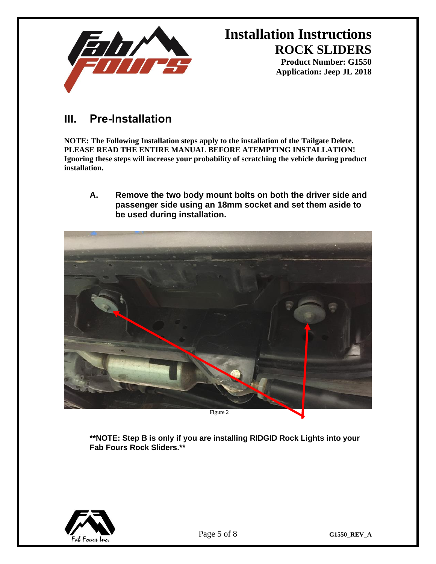

**Application: Jeep JL 2018**

### **III. Pre-Installation**

**NOTE: The Following Installation steps apply to the installation of the Tailgate Delete. PLEASE READ THE ENTIRE MANUAL BEFORE ATEMPTING INSTALLATION! Ignoring these steps will increase your probability of scratching the vehicle during product installation.** 

**A. Remove the two body mount bolts on both the driver side and passenger side using an 18mm socket and set them aside to be used during installation.**



**\*\*NOTE: Step B is only if you are installing RIDGID Rock Lights into your Fab Fours Rock Sliders.\*\***

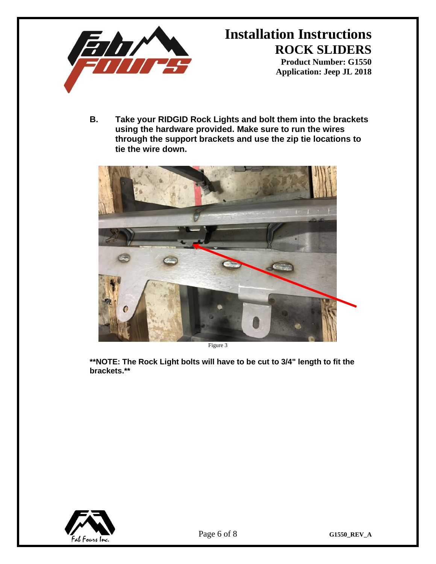

**Application: Jeep JL 2018**

**B. Take your RIDGID Rock Lights and bolt them into the brackets using the hardware provided. Make sure to run the wires through the support brackets and use the zip tie locations to tie the wire down.** 



Figure 3

**\*\*NOTE: The Rock Light bolts will have to be cut to 3/4" length to fit the brackets.\*\***

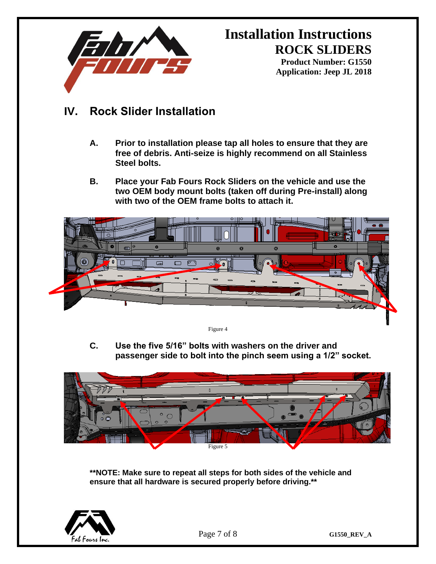

**Product Number: G1550 Application: Jeep JL 2018**

### **IV. Rock Slider Installation**

- **A. Prior to installation please tap all holes to ensure that they are free of debris. Anti-seize is highly recommend on all Stainless Steel bolts.**
- **B. Place your Fab Fours Rock Sliders on the vehicle and use the two OEM body mount bolts (taken off during Pre-install) along with two of the OEM frame bolts to attach it.**



Figure 4

**C. Use the five 5/16" bolts with washers on the driver and passenger side to bolt into the pinch seem using a 1/2" socket.** 



**\*\*NOTE: Make sure to repeat all steps for both sides of the vehicle and ensure that all hardware is secured properly before driving.\*\***



Page 7 of 8 **G1550\_REV\_A**